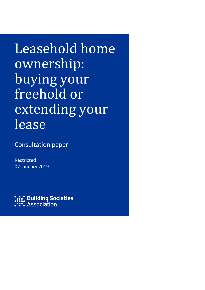Leasehold home ownership: buying your freehold or extending your lease

Consultation paper

Restricted 07 January 2019

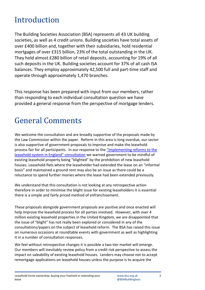# Introduction

The Building Societies Association (BSA) represents all 43 UK building societies, as well as 4 credit unions. Building societies have total assets of over £400 billion and, together with their subsidiaries, hold residential mortgages of over £315 billion, 23% of the total outstanding in the UK. They hold almost £280 billion of retail deposits, accounting for 19% of all such deposits in the UK. Building societies account for 37% of all cash ISA balances. They employ approximately 42,500 full and part-time staff and operate through approximately 1,470 branches.

This response has been prepared with input from our members, rather than responding to each individual consultation question we have provided a general response from the perspective of mortgage lenders.

# General Comments

We welcome the consultation and are broadly supportive of the proposals made by the Law Commission within the paper. Reform in this area is long overdue, our sector is also supportive of government proposals to improve and make the leasehold process fair for all participants. In our response to the ["Implementing reforms to the](https://www.bsa.org.uk/information/industry-responses/bsa-response-to-mhclg-consultation-on-implementing)  leas[ehold system in England"](https://www.bsa.org.uk/information/industry-responses/bsa-response-to-mhclg-consultation-on-implementing) consultation we warned government to be mindful of existing leasehold property being "blighted" by the prohibition of new leasehold houses. Leasehold flats where the leaseholder had extended the lease on an "informal basis" and maintained a ground rent may also be an issue as there could be a reluctance to spend further monies where the lease had been extended previously.

We understand that this consultation is not looking at any retrospective action therefore in order to minimise the blight issue for existing leaseholders it is essential there is a simple and fairly priced method of enfranchisement.

These proposals alongside government proposals are positive and once enacted will help improve the leasehold process for all parties involved. However, with over 4 million existing leasehold properties in the United Kingdom, we are disappointed that the issue of "blight" has not really been explored or considered in any of the consultations/papers on the subject of leasehold reform. The BSA has raised this issue on numerous occasions at roundtable events with government as well as highlighting it in a number of consultation responses.

We feel without retrospective changes it is possible a two-tier market will emerge. Our members will inevitably review policy from a credit risk perspective to assess the impact on saleability of existing leasehold houses. Lenders may choose not to accept remortgage applications on leasehold houses unless the purpose is to acquire the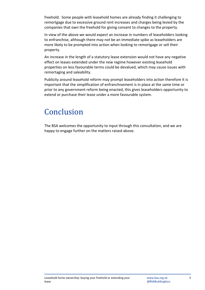freehold. Some people with leasehold homes are already finding it challenging to remortgage due to excessive ground rent increases and charges being levied by the companies that own the freehold for giving consent to changes to the property.

In view of the above we would expect an increase in numbers of leaseholders looking to enfranchise, although there may not be an immediate spike as leaseholders are more likely to be prompted into action when looking to remortgage or sell their property.

An increase in the length of a statutory lease extension would not have any negative effect on leases extended under the new regime however existing leasehold properties on less favourable terms could be devalued, which may cause issues with remortaging and saleability.

Publicity around leasehold reform may prompt leaseholders into action therefore it is important that the simplification of enfranchisement is in place at the same time or prior to any government reform being enacted, this gives leaseholders opportunity to extend or purchase their lease under a more favourable system.

## Conclusion

The BSA welcomes the opportunity to input through this consultation, and we are happy to engage further on the matters raised above.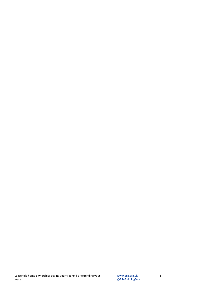#### Leasehold home ownership: buying your freehold or extending your lease